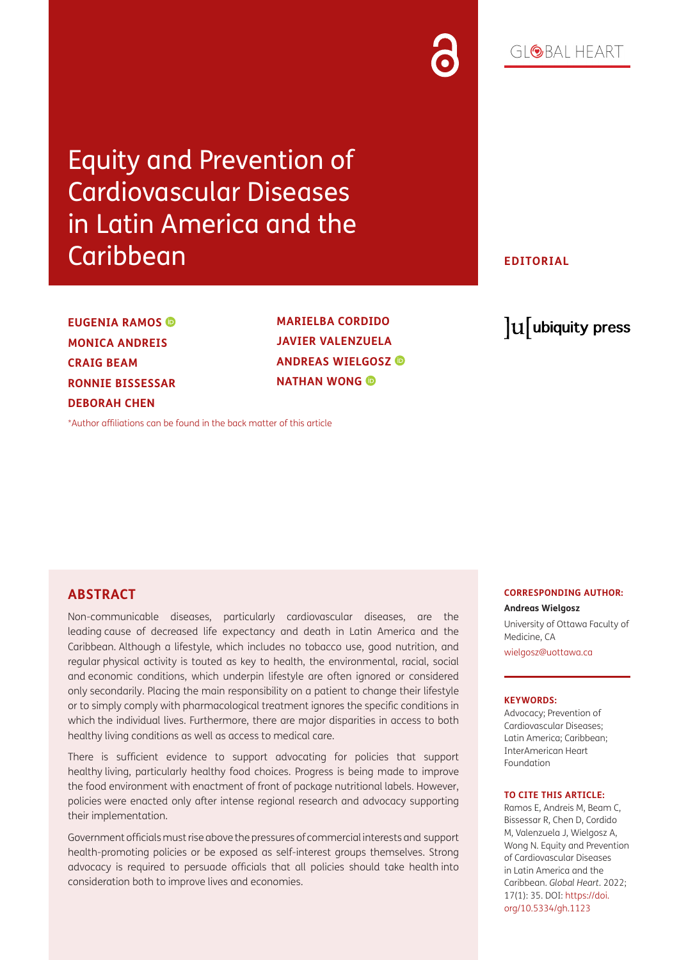# $G[QBA] HFART$

Equity and Prevention of Cardiovascular Diseases in Latin America and the **Caribbean** 

**EUGENIA RAMOS MONICA ANDREIS CRAIG BEAM RONNIE BISSESSAR DEBORAH CHEN**

**MARIELBA CORDIDO JAVIER VALENZUELA ANDREAS WIELGOSZ NATHAN WONG** 

### **EDITORIAL**

lu ubiquity press

[\\*Author affiliations can be found in the back matter of this article](#page-2-0)

### **ABSTRACT**

Non-communicable diseases, particularly cardiovascular diseases, are the leading cause of decreased life expectancy and death in Latin America and the Caribbean. Although a lifestyle, which includes no tobacco use, good nutrition, and regular physical activity is touted as key to health, the environmental, racial, social and economic conditions, which underpin lifestyle are often ignored or considered only secondarily. Placing the main responsibility on a patient to change their lifestyle or to simply comply with pharmacological treatment ignores the specific conditions in which the individual lives. Furthermore, there are major disparities in access to both healthy living conditions as well as access to medical care.

There is sufficient evidence to support advocating for policies that support healthy living, particularly healthy food choices. Progress is being made to improve the food environment with enactment of front of package nutritional labels. However, policies were enacted only after intense regional research and advocacy supporting their implementation.

Government officials must rise above the pressures of commercial interests and support health-promoting policies or be exposed as self-interest groups themselves. Strong advocacy is required to persuade officials that all policies should take health into consideration both to improve lives and economies.

#### **CORRESPONDING AUTHOR:**

**Andreas Wielgosz**  University of Ottawa Faculty of Medicine, CA [wielgosz@uottawa.ca](mailto:wielgosz@uottawa.ca)

#### **KEYWORDS:**

Advocacy; Prevention of Cardiovascular Diseases; Latin America; Caribbean; InterAmerican Heart Foundation

#### **TO CITE THIS ARTICLE:**

Ramos E, Andreis M, Beam C, Bissessar R, Chen D, Cordido M, Valenzuela J, Wielgosz A, Wong N. Equity and Prevention of Cardiovascular Diseases in Latin America and the Caribbean. *Global Heart*. 2022; 17(1): 35. DOI: [https://doi.](https://doi.org/10.5334/gh.1123) [org/10.5334/gh.1123](https://doi.org/10.5334/gh.1123)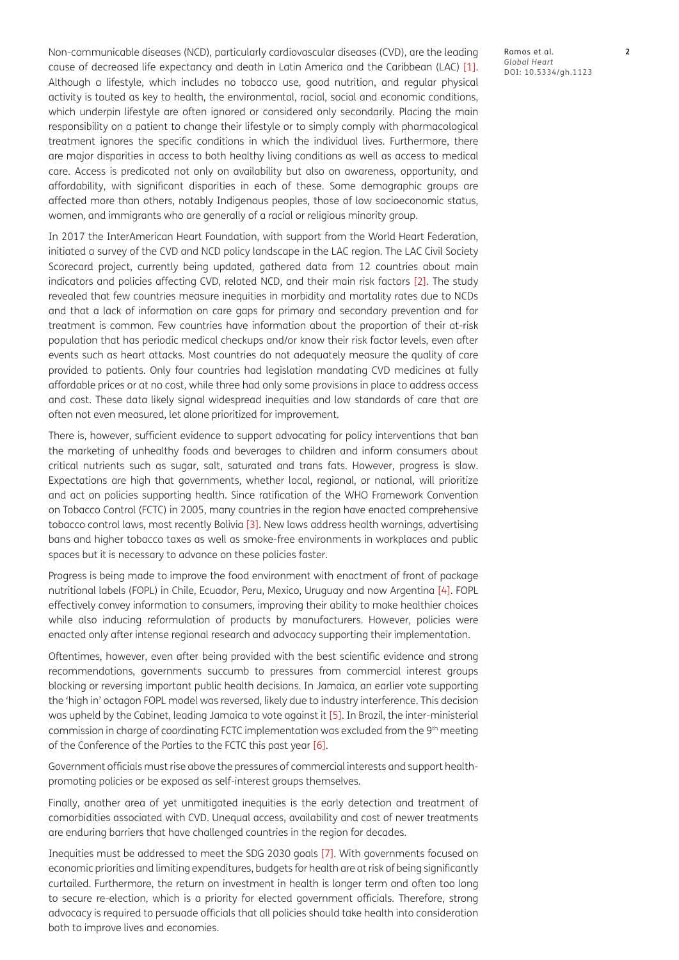Non-communicable diseases (NCD), particularly cardiovascular diseases (CVD), are the leading cause of decreased life expectancy and death in Latin America and the Caribbean (LAC) [1]. Although a lifestyle, which includes no tobacco use, good nutrition, and regular physical activity is touted as key to health, the environmental, racial, social and economic conditions, which underpin lifestyle are often ignored or considered only secondarily. Placing the main responsibility on a patient to change their lifestyle or to simply comply with pharmacological treatment ignores the specific conditions in which the individual lives. Furthermore, there are major disparities in access to both healthy living conditions as well as access to medical care. Access is predicated not only on availability but also on awareness, opportunity, and affordability, with significant disparities in each of these. Some demographic groups are affected more than others, notably Indigenous peoples, those of low socioeconomic status, women, and immigrants who are generally of a racial or religious minority group.

In 2017 the InterAmerican Heart Foundation, with support from the World Heart Federation, initiated a survey of the CVD and NCD policy landscape in the LAC region. The LAC Civil Society Scorecard project, currently being updated, gathered data from 12 countries about main indicators and policies affecting CVD, related NCD, and their main risk factors [\[2\].](#page-2-1) The study revealed that few countries measure inequities in morbidity and mortality rates due to NCDs and that a lack of information on care gaps for primary and secondary prevention and for treatment is common. Few countries have information about the proportion of their at-risk population that has periodic medical checkups and/or know their risk factor levels, even after events such as heart attacks. Most countries do not adequately measure the quality of care provided to patients. Only four countries had legislation mandating CVD medicines at fully affordable prices or at no cost, while three had only some provisions in place to address access and cost. These data likely signal widespread inequities and low standards of care that are often not even measured, let alone prioritized for improvement.

There is, however, sufficient evidence to support advocating for policy interventions that ban the marketing of unhealthy foods and beverages to children and inform consumers about critical nutrients such as sugar, salt, saturated and trans fats. However, progress is slow. Expectations are high that governments, whether local, regional, or national, will prioritize and act on policies supporting health. Since ratification of the WHO Framework Convention on Tobacco Control (FCTC) in 2005, many countries in the region have enacted comprehensive tobacco control laws, most recently Bolivia [\[3\]](#page-2-2). New laws address health warnings, advertising bans and higher tobacco taxes as well as smoke-free environments in workplaces and public spaces but it is necessary to advance on these policies faster.

Progress is being made to improve the food environment with enactment of front of package nutritional labels (FOPL) in Chile, Ecuador, Peru, Mexico, Uruguay and now Argentina [\[4\]](#page-2-3). FOPL effectively convey information to consumers, improving their ability to make healthier choices while also inducing reformulation of products by manufacturers. However, policies were enacted only after intense regional research and advocacy supporting their implementation.

Oftentimes, however, even after being provided with the best scientific evidence and strong recommendations, governments succumb to pressures from commercial interest groups blocking or reversing important public health decisions. In Jamaica, an earlier vote supporting the 'high in' octagon FOPL model was reversed, likely due to industry interference. This decision was upheld by the Cabinet, leading Jamaica to vote against it [\[5\].](#page-2-4) In Brazil, the inter-ministerial commission in charge of coordinating FCTC implementation was excluded from the 9th meeting of the Conference of the Parties to the FCTC this past year [\[6\].](#page-2-5)

Government officials must rise above the pressures of commercial interests and support healthpromoting policies or be exposed as self-interest groups themselves.

Finally, another area of yet unmitigated inequities is the early detection and treatment of comorbidities associated with CVD. Unequal access, availability and cost of newer treatments are enduring barriers that have challenged countries in the region for decades.

Inequities must be addressed to meet the SDG 2030 goals [\[7\].](#page-2-6) With governments focused on economic priorities and limiting expenditures, budgets for health are at risk of being significantly curtailed. Furthermore, the return on investment in health is longer term and often too long to secure re-election, which is a priority for elected government officials. Therefore, strong advocacy is required to persuade officials that all policies should take health into consideration both to improve lives and economies.

Ramos et al. **2** *Global Heart* DOI: 10.5334/gh.1123